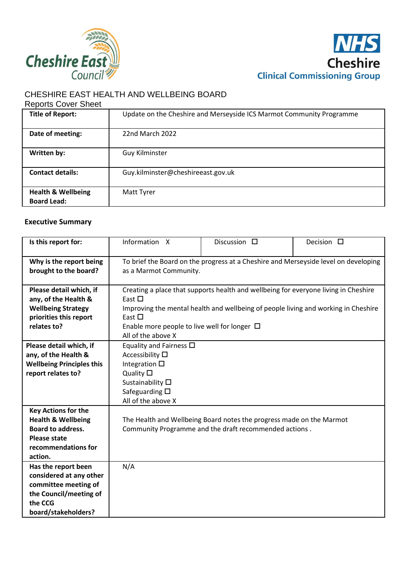



# CHESHIRE EAST HEALTH AND WELLBEING BOARD

#### Reports Cover Sheet

| <b>Title of Report:</b>                             | Update on the Cheshire and Merseyside ICS Marmot Community Programme |
|-----------------------------------------------------|----------------------------------------------------------------------|
|                                                     |                                                                      |
| Date of meeting:                                    | 22nd March 2022                                                      |
| Written by:                                         | Guy Kilminster                                                       |
| <b>Contact details:</b>                             | Guy.kilminster@cheshireeast.gov.uk                                   |
| <b>Health &amp; Wellbeing</b><br><b>Board Lead:</b> | Matt Tyrer                                                           |

## **Executive Summary**

| Is this report for:                                                                                                                              | Information X                                                                                                                                                                                                                                                                      | Discussion $\square$                                                                                                           | Decision $\square$ |  |
|--------------------------------------------------------------------------------------------------------------------------------------------------|------------------------------------------------------------------------------------------------------------------------------------------------------------------------------------------------------------------------------------------------------------------------------------|--------------------------------------------------------------------------------------------------------------------------------|--------------------|--|
| Why is the report being<br>brought to the board?                                                                                                 | To brief the Board on the progress at a Cheshire and Merseyside level on developing<br>as a Marmot Community.                                                                                                                                                                      |                                                                                                                                |                    |  |
| Please detail which, if<br>any, of the Health &<br><b>Wellbeing Strategy</b><br>priorities this report<br>relates to?                            | Creating a place that supports health and wellbeing for everyone living in Cheshire<br>East $\Box$<br>Improving the mental health and wellbeing of people living and working in Cheshire<br>East $\Box$<br>Enable more people to live well for longer $\Box$<br>All of the above X |                                                                                                                                |                    |  |
| Please detail which, if<br>any, of the Health &<br><b>Wellbeing Principles this</b><br>report relates to?                                        | Equality and Fairness $\Box$<br>Accessibility $\square$<br>Integration $\square$<br>Quality $\square$<br>Sustainability $\square$<br>Safeguarding $\square$<br>All of the above X                                                                                                  |                                                                                                                                |                    |  |
| <b>Key Actions for the</b><br><b>Health &amp; Wellbeing</b><br><b>Board to address.</b><br><b>Please state</b><br>recommendations for<br>action. |                                                                                                                                                                                                                                                                                    | The Health and Wellbeing Board notes the progress made on the Marmot<br>Community Programme and the draft recommended actions. |                    |  |
| Has the report been<br>considered at any other<br>committee meeting of<br>the Council/meeting of<br>the CCG<br>board/stakeholders?               | N/A                                                                                                                                                                                                                                                                                |                                                                                                                                |                    |  |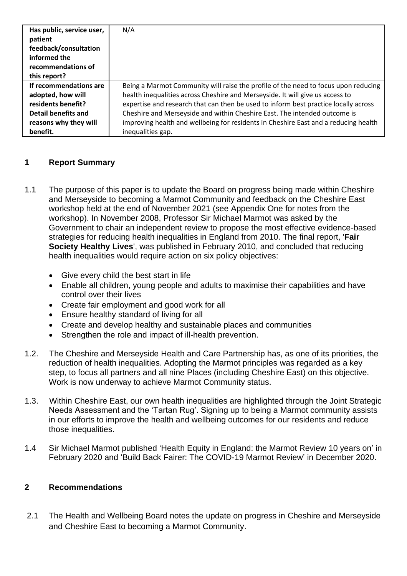| Has public, service user,<br>patient | N/A                                                                                 |
|--------------------------------------|-------------------------------------------------------------------------------------|
| feedback/consultation                |                                                                                     |
| informed the                         |                                                                                     |
| recommendations of                   |                                                                                     |
| this report?                         |                                                                                     |
| If recommendations are               | Being a Marmot Community will raise the profile of the need to focus upon reducing  |
| adopted, how will                    | health inequalities across Cheshire and Merseyside. It will give us access to       |
| residents benefit?                   | expertise and research that can then be used to inform best practice locally across |
| Detail benefits and                  | Cheshire and Merseyside and within Cheshire East. The intended outcome is           |
| reasons why they will                | improving health and wellbeing for residents in Cheshire East and a reducing health |
| benefit.                             | inequalities gap.                                                                   |

## **1 Report Summary**

- 1.1 The purpose of this paper is to update the Board on progress being made within Cheshire and Merseyside to becoming a Marmot Community and feedback on the Cheshire East workshop held at the end of November 2021 (see Appendix One for notes from the workshop). In November 2008, Professor Sir Michael Marmot was asked by the Government to chair an independent review to propose the most effective evidence-based strategies for reducing health inequalities in England from 2010. The final report, '**Fair Society Healthy Lives**', was published in February 2010, and concluded that reducing health inequalities would require action on six policy objectives:
	- Give every child the best start in life
	- Enable all children, young people and adults to maximise their capabilities and have control over their lives
	- Create fair employment and good work for all
	- Ensure healthy standard of living for all
	- Create and develop healthy and sustainable places and communities
	- Strengthen the role and impact of ill-health prevention.
- 1.2. The Cheshire and Merseyside Health and Care Partnership has, as one of its priorities, the reduction of health inequalities. Adopting the Marmot principles was regarded as a key step, to focus all partners and all nine Places (including Cheshire East) on this objective. Work is now underway to achieve Marmot Community status.
- 1.3. Within Cheshire East, our own health inequalities are highlighted through the Joint Strategic Needs Assessment and the 'Tartan Rug'. Signing up to being a Marmot community assists in our efforts to improve the health and wellbeing outcomes for our residents and reduce those inequalities.
- 1.4 Sir Michael Marmot published 'Health Equity in England: the Marmot Review 10 years on' in February 2020 and 'Build Back Fairer: The COVID-19 Marmot Review' in December 2020.

### **2 Recommendations**

2.1 The Health and Wellbeing Board notes the update on progress in Cheshire and Merseyside and Cheshire East to becoming a Marmot Community.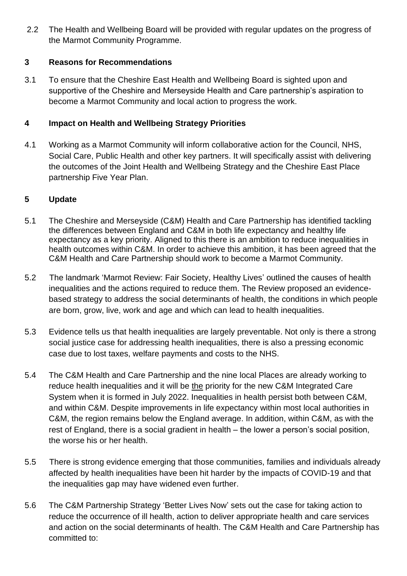2.2 The Health and Wellbeing Board will be provided with regular updates on the progress of the Marmot Community Programme.

## **3 Reasons for Recommendations**

3.1 To ensure that the Cheshire East Health and Wellbeing Board is sighted upon and supportive of the Cheshire and Merseyside Health and Care partnership's aspiration to become a Marmot Community and local action to progress the work.

## **4 Impact on Health and Wellbeing Strategy Priorities**

4.1 Working as a Marmot Community will inform collaborative action for the Council, NHS, Social Care, Public Health and other key partners. It will specifically assist with delivering the outcomes of the Joint Health and Wellbeing Strategy and the Cheshire East Place partnership Five Year Plan.

## **5 Update**

- 5.1 The Cheshire and Merseyside (C&M) Health and Care Partnership has identified tackling the differences between England and C&M in both life expectancy and healthy life expectancy as a key priority. Aligned to this there is an ambition to reduce inequalities in health outcomes within C&M. In order to achieve this ambition, it has been agreed that the C&M Health and Care Partnership should work to become a Marmot Community.
- 5.2 The landmark 'Marmot Review: Fair Society, Healthy Lives' outlined the causes of health inequalities and the actions required to reduce them. The Review proposed an evidencebased strategy to address the social determinants of health, the conditions in which people are born, grow, live, work and age and which can lead to health inequalities.
- 5.3 Evidence tells us that health inequalities are largely preventable. Not only is there a strong social justice case for addressing health inequalities, there is also a pressing economic case due to lost taxes, welfare payments and costs to the NHS.
- 5.4 The C&M Health and Care Partnership and the nine local Places are already working to reduce health inequalities and it will be the priority for the new C&M Integrated Care System when it is formed in July 2022. Inequalities in health persist both between C&M, and within C&M. Despite improvements in life expectancy within most local authorities in C&M, the region remains below the England average. In addition, within C&M, as with the rest of England, there is a social gradient in health – the lower a person's social position, the worse his or her health.
- 5.5 There is strong evidence emerging that those communities, families and individuals already affected by health inequalities have been hit harder by the impacts of COVID-19 and that the inequalities gap may have widened even further.
- 5.6 The C&M Partnership Strategy 'Better Lives Now' sets out the case for taking action to reduce the occurrence of ill health, action to deliver appropriate health and care services and action on the social determinants of health. The C&M Health and Care Partnership has committed to: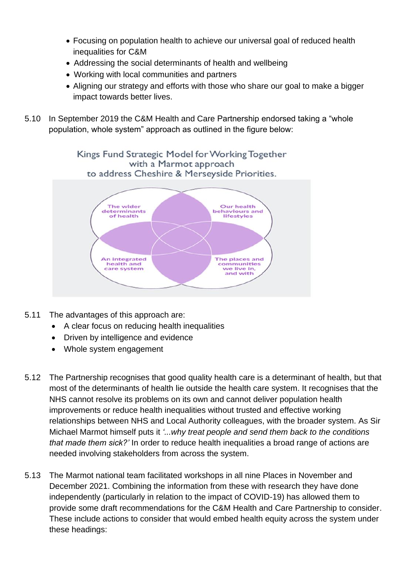- Focusing on population health to achieve our universal goal of reduced health inequalities for C&M
- Addressing the social determinants of health and wellbeing
- Working with local communities and partners
- Aligning our strategy and efforts with those who share our goal to make a bigger impact towards better lives.
- 5.10 In September 2019 the C&M Health and Care Partnership endorsed taking a "whole population, whole system" approach as outlined in the figure below:



- 5.11 The advantages of this approach are:
	- A clear focus on reducing health inequalities
	- Driven by intelligence and evidence
	- Whole system engagement
- 5.12 The Partnership recognises that good quality health care is a determinant of health, but that most of the determinants of health lie outside the health care system. It recognises that the NHS cannot resolve its problems on its own and cannot deliver population health improvements or reduce health inequalities without trusted and effective working relationships between NHS and Local Authority colleagues, with the broader system. As Sir Michael Marmot himself puts it *'...why treat people and send them back to the conditions that made them sick?'* In order to reduce health inequalities a broad range of actions are needed involving stakeholders from across the system.
- 5.13 The Marmot national team facilitated workshops in all nine Places in November and December 2021. Combining the information from these with research they have done independently (particularly in relation to the impact of COVID-19) has allowed them to provide some draft recommendations for the C&M Health and Care Partnership to consider. These include actions to consider that would embed health equity across the system under these headings: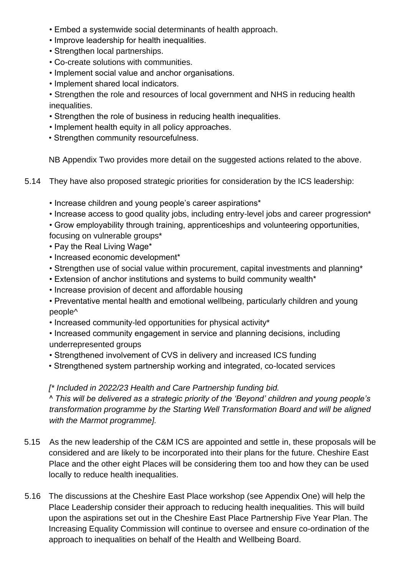- Embed a systemwide social determinants of health approach.
- Improve leadership for health inequalities.
- Strengthen local partnerships.
- Co-create solutions with communities.
- Implement social value and anchor organisations.
- Implement shared local indicators.

• Strengthen the role and resources of local government and NHS in reducing health inequalities.

- Strengthen the role of business in reducing health inequalities.
- Implement health equity in all policy approaches.
- Strengthen community resourcefulness.

NB Appendix Two provides more detail on the suggested actions related to the above.

- 5.14 They have also proposed strategic priorities for consideration by the ICS leadership:
	- Increase children and young people's career aspirations\*
	- Increase access to good quality jobs, including entry-level jobs and career progression\*

• Grow employability through training, apprenticeships and volunteering opportunities, focusing on vulnerable groups\*

- Pay the Real Living Wage\*
- Increased economic development\*
- Strengthen use of social value within procurement, capital investments and planning\*
- Extension of anchor institutions and systems to build community wealth\*
- Increase provision of decent and affordable housing
- Preventative mental health and emotional wellbeing, particularly children and young people^
- Increased community-led opportunities for physical activity\*
- Increased community engagement in service and planning decisions, including underrepresented groups
- Strengthened involvement of CVS in delivery and increased ICS funding
- Strengthened system partnership working and integrated, co-located services

### *[\* Included in 2022/23 Health and Care Partnership funding bid.*

*^ This will be delivered as a strategic priority of the 'Beyond' children and young people's transformation programme by the Starting Well Transformation Board and will be aligned with the Marmot programme].*

- 5.15 As the new leadership of the C&M ICS are appointed and settle in, these proposals will be considered and are likely to be incorporated into their plans for the future. Cheshire East Place and the other eight Places will be considering them too and how they can be used locally to reduce health inequalities.
- 5.16 The discussions at the Cheshire East Place workshop (see Appendix One) will help the Place Leadership consider their approach to reducing health inequalities. This will build upon the aspirations set out in the Cheshire East Place Partnership Five Year Plan. The Increasing Equality Commission will continue to oversee and ensure co-ordination of the approach to inequalities on behalf of the Health and Wellbeing Board.